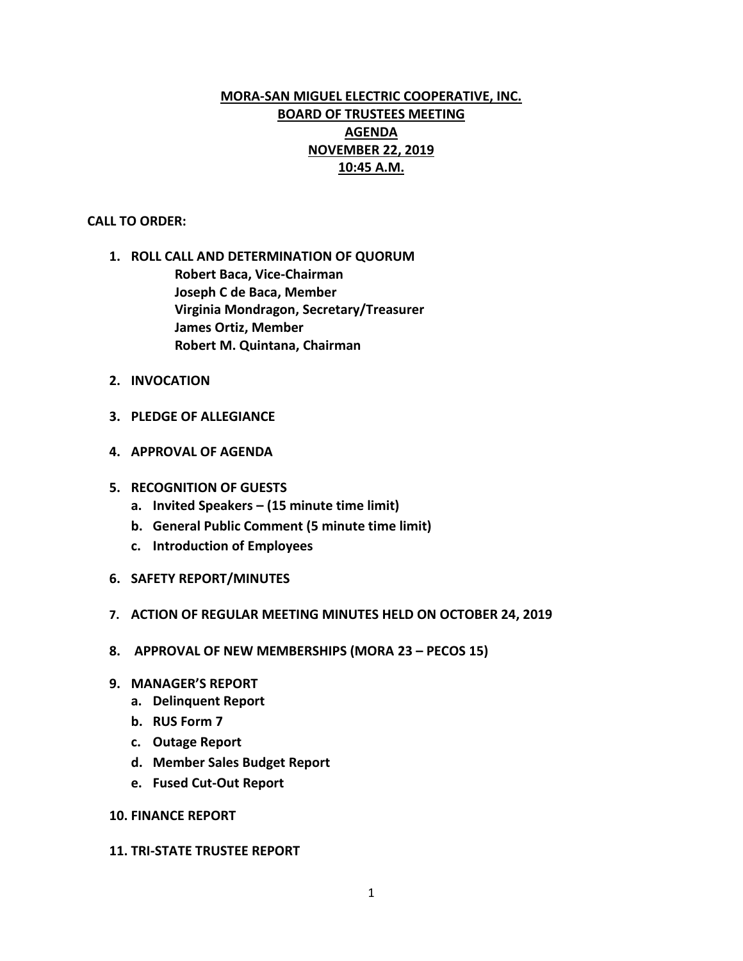# **MORA-SAN MIGUEL ELECTRIC COOPERATIVE, INC. BOARD OF TRUSTEES MEETING AGENDA NOVEMBER 22, 2019 10:45 A.M.**

### **CALL TO ORDER:**

- **1. ROLL CALL AND DETERMINATION OF QUORUM Robert Baca, Vice-Chairman Joseph C de Baca, Member Virginia Mondragon, Secretary/Treasurer James Ortiz, Member Robert M. Quintana, Chairman**
- **2. INVOCATION**
- **3. PLEDGE OF ALLEGIANCE**
- **4. APPROVAL OF AGENDA**
- **5. RECOGNITION OF GUESTS**
	- **a. Invited Speakers – (15 minute time limit)**
	- **b. General Public Comment (5 minute time limit)**
	- **c. Introduction of Employees**
- **6. SAFETY REPORT/MINUTES**
- **7. ACTION OF REGULAR MEETING MINUTES HELD ON OCTOBER 24, 2019**
- **8. APPROVAL OF NEW MEMBERSHIPS (MORA 23 – PECOS 15)**
- **9. MANAGER'S REPORT**
	- **a. Delinquent Report**
	- **b. RUS Form 7**
	- **c. Outage Report**
	- **d. Member Sales Budget Report**
	- **e. Fused Cut-Out Report**

### **10. FINANCE REPORT**

#### **11. TRI-STATE TRUSTEE REPORT**